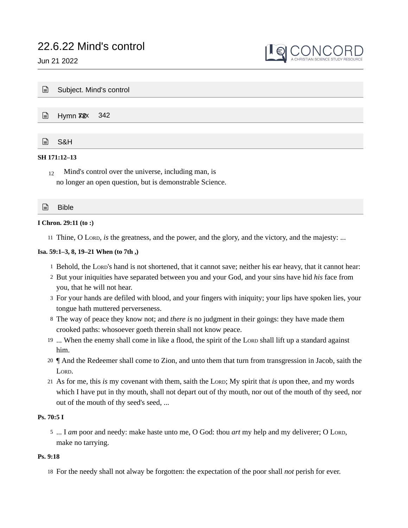

| $\mathbf{r}$ | Subject. Mind's control         |  |  |  |  |  |  |
|--------------|---------------------------------|--|--|--|--|--|--|
|              |                                 |  |  |  |  |  |  |
|              | Hymn <b>X2</b> <sub>x</sub> 342 |  |  |  |  |  |  |
|              |                                 |  |  |  |  |  |  |
| $\Box$       | S&H                             |  |  |  |  |  |  |
| SH 171:12-13 |                                 |  |  |  |  |  |  |

Mind's control over the universe, including man, is no longer an open question, but is demonstrable Science. 12

| G<br>Bible |  |
|------------|--|
|------------|--|

# **I Chron. 29:11 (to :)**

11 Thine, O Lord, *is* the greatness, and the power, and the glory, and the victory, and the majesty: ...

# **Isa. 59:1–3, 8, 19–21 When (to 7th ,)**

- 1 Behold, the LORD's hand is not shortened, that it cannot save; neither his ear heavy, that it cannot hear:
- 2 But your iniquities have separated between you and your God, and your sins have hid *his* face from you, that he will not hear.
- For your hands are defiled with blood, and your fingers with iniquity; your lips have spoken lies, your 3 tongue hath muttered perverseness.
- The way of peace they know not; and *there is* no judgment in their goings: they have made them 8 crooked paths: whosoever goeth therein shall not know peace.
- 19 ... When the enemy shall come in like a flood, the spirit of the Loro shall lift up a standard against him.
- ¶ And the Redeemer shall come to Zion, and unto them that turn from transgression in Jacob, saith the 20 LORD.
- 21 As for me, this *is* my covenant with them, saith the Lord; My spirit that *is* upon thee, and my words which I have put in thy mouth, shall not depart out of thy mouth, nor out of the mouth of thy seed, nor out of the mouth of thy seed's seed, ...

# **Ps. 70:5 I**

5 ... I am poor and needy: make haste unto me, O God: thou art my help and my deliverer; O LORD, make no tarrying.

# **Ps. 9:18**

18 For the needy shall not alway be forgotten: the expectation of the poor shall *not* perish for ever.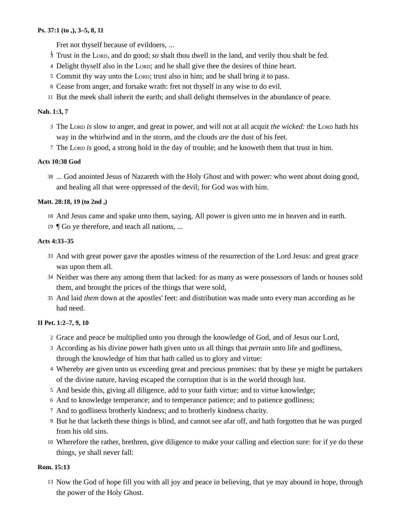# **Ps. 37:1 (to ,), 3–5, 8, 11**

Fret not thyself because of evildoers, ...

- <sup>3</sup> Trust in the LORD, and do good; so shalt thou dwell in the land, and verily thou shalt be fed.
- 4 Delight thyself also in the Lorp; and he shall give thee the desires of thine heart.
- 5 Commit thy way unto the Lorp; trust also in him; and he shall bring *it* to pass.
- Cease from anger, and forsake wrath: fret not thyself in any wise to do evil. 8
- 11 But the meek shall inherit the earth; and shall delight themselves in the abundance of peace.

# **Nah. 1:3, 7**

- 3 The Lord *is* slow to anger, and great in power, and will not at all acquit *the wicked*: the Lord hath his way in the whirlwind and in the storm, and the clouds *are* the dust of his feet.
- 7 The Loro *is* good, a strong hold in the day of trouble; and he knoweth them that trust in him.

# **Acts 10:38 God**

... God anointed Jesus of Nazareth with the Holy Ghost and with power: who went about doing good, 38 and healing all that were oppressed of the devil; for God was with him.

# **Matt. 28:18, 19 (to 2nd ,)**

18 And Jesus came and spake unto them, saying, All power is given unto me in heaven and in earth.

¶ Go ye therefore, and teach all nations, ... 19

# **Acts 4:33–35**

- 33 And with great power gave the apostles witness of the resurrection of the Lord Jesus: and great grace was upon them all.
- Neither was there any among them that lacked: for as many as were possessors of lands or houses sold 34 them, and brought the prices of the things that were sold,
- And laid *them* down at the apostles' feet: and distribution was made unto every man according as he 35 had need.

# **II Pet. 1:2–7, 9, 10**

- Grace and peace be multiplied unto you through the knowledge of God, and of Jesus our Lord, 2
- According as his divine power hath given unto us all things that *pertain* unto life and godliness, 3 through the knowledge of him that hath called us to glory and virtue:
- Whereby are given unto us exceeding great and precious promises: that by these ye might be partakers 4 of the divine nature, having escaped the corruption that is in the world through lust.
- And beside this, giving all diligence, add to your faith virtue; and to virtue knowledge; 5
- And to knowledge temperance; and to temperance patience; and to patience godliness; 6
- And to godliness brotherly kindness; and to brotherly kindness charity. 7
- 9 But he that lacketh these things is blind, and cannot see afar off, and hath forgotten that he was purged from his old sins.
- Wherefore the rather, brethren, give diligence to make your calling and election sure: for if ye do these 10 things, ye shall never fall:

# **Rom. 15:13**

13 Now the God of hope fill you with all joy and peace in believing, that ye may abound in hope, through the power of the Holy Ghost.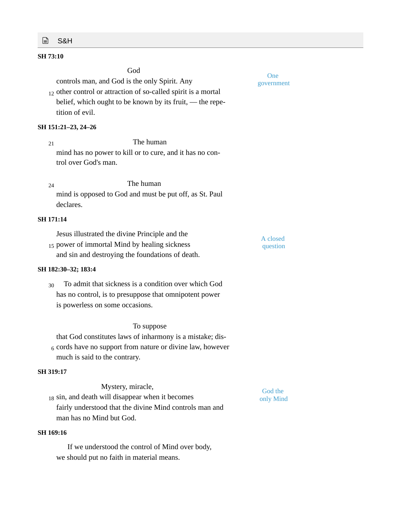# **■ S&H**

# **SH 73:10**

God

controls man, and God is the only Spirit. Any

 $_{12}$  other control or attraction of so-called spirit is a mortal belief, which ought to be known by its fruit, — the repetition of evil.

### **SH 151:21–23, 24–26**

The human mind has no power to kill or to cure, and it has no control over God's man. 21

The human mind is opposed to God and must be put off, as St. Paul declares. 24

# **SH 171:14**

| Jesus illustrated the divine Principle and the   | A closed |  |
|--------------------------------------------------|----------|--|
| 15 power of immortal Mind by healing sickness    | question |  |
| and sin and destroying the foundations of death. |          |  |

#### **SH 182:30–32; 183:4**

To admit that sickness is a condition over which God has no control, is to presuppose that omnipotent power is powerless on some occasions. 30

# To suppose

that God constitutes laws of inharmony is a mistake; dis- $_6$  cords have no support from nature or divine law, however much is said to the contrary.

#### **SH 319:17**

| Mystery, miracle,                                       |
|---------------------------------------------------------|
| 18 sin, and death will disappear when it becomes        |
| fairly understood that the divine Mind controls man and |
| man has no Mind but God.                                |

# **SH 169:16**

If we understood the control of Mind over body, we should put no faith in material means.

One government

God the only Mind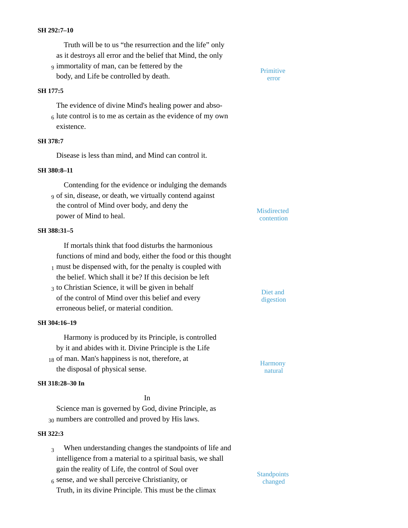#### **SH 292:7–10**

Truth will be to us "the resurrection and the life" only as it destroys all error and the belief that Mind, the only g immortality of man, can be fettered by the **Primitive** body, and Life be controlled by death.

#### **SH 177:5**

The evidence of divine Mind's healing power and abso- $_6$  lute control is to me as certain as the evidence of my own existence.

# **SH 378:7**

Disease is less than mind, and Mind can control it.

#### **SH 380:8–11**

Contending for the evidence or indulging the demands of sin, disease, or death, we virtually contend against 9 the control of Mind over body, and deny the power of Mind to heal.

#### **SH 388:31–5**

If mortals think that food disturbs the harmonious functions of mind and body, either the food or this thought  $_1$  must be dispensed with, for the penalty is coupled with the belief. Which shall it be? If this decision be left to Christian Science, it will be given in behalf <sup>3</sup> Diet and of the control of Mind over this belief and every

erroneous belief, or material condition.

# **SH 304:16–19**

**SH 318:28–30 In**

Harmony is produced by its Principle, is controlled by it and abides with it. Divine Principle is the Life 18 of man. Man's happiness is not, therefore, at Harmony the disposal of physical sense.

# natural

digestion

error

**Misdirected** contention

Science man is governed by God, divine Principle, as 30 numbers are controlled and proved by His laws.

In

# **SH 322:3**

- When understanding changes the standpoints of life and intelligence from a material to a spiritual basis, we shall gain the reality of Life, the control of Soul over 3
- $6$  sense, and we shall perceive Christianity, or  $\frac{6 \text{ and } \text{orange}}{\text{changed}}$ Truth, in its divine Principle. This must be the climax

**Standpoints**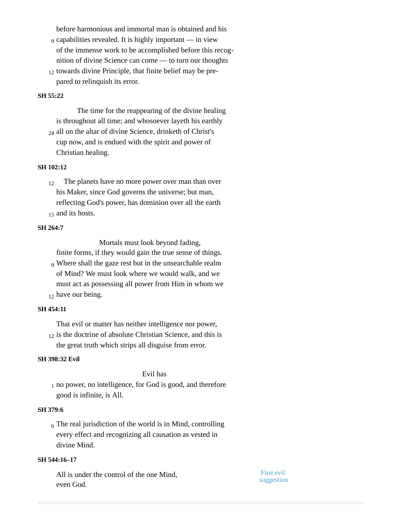before harmonious and immortal man is obtained and his

- capabilities revealed. It is highly important in view 9 of the immense work to be accomplished before this recognition of divine Science can come — to turn our thoughts
- 12 towards divine Principle, that finite belief may be prepared to relinquish its error.

# **SH 55:22**

The time for the reappearing of the divine healing is throughout all time; and whosoever layeth his earthly

24 all on the altar of divine Science, drinketh of Christ's cup now, and is endued with the spirit and power of Christian healing.

#### **SH 102:12**

The planets have no more power over man than over his Maker, since God governs the universe; but man, reflecting God's power, has dominion over all the earth 15 and its hosts. 12

#### **SH 264:7**

Mortals must look beyond fading,

finite forms, if they would gain the true sense of things.

<sub>9</sub> Where shall the gaze rest but in the unsearchable realm of Mind? We must look where we would walk, and we must act as possessing all power from Him in whom we  $_{12}$  have our being.

#### **SH 454:11**

That evil or matter has neither intelligence nor power,  $_{12}$  is the doctrine of absolute Christian Science, and this is

the great truth which strips all disguise from error.

# **SH 398:32 Evil**

Evil has

 $_1$  no power, no intelligence, for God is good, and therefore good is infinite, is All.

# **SH 379:6**

 $_6$  The real jurisdiction of the world is in Mind, controlling every effect and recognizing all causation as vested in divine Mind.

# **SH 544:16–17**

All is under the control of the one Mind, even God.

First evil suggestion